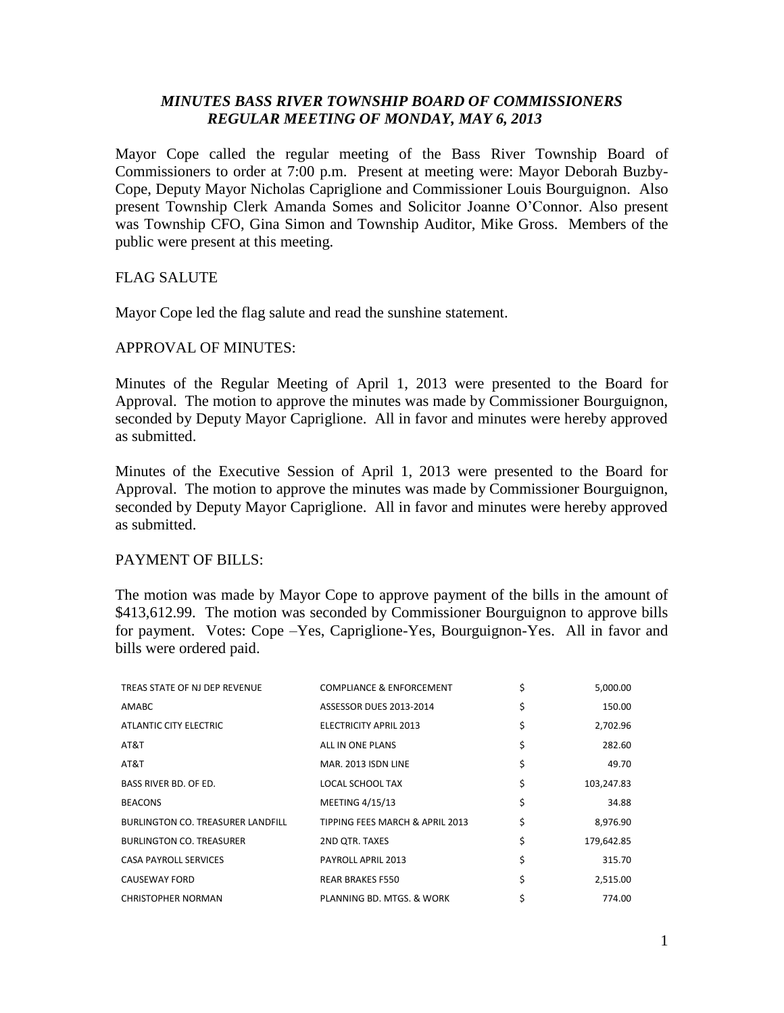## *MINUTES BASS RIVER TOWNSHIP BOARD OF COMMISSIONERS REGULAR MEETING OF MONDAY, MAY 6, 2013*

Mayor Cope called the regular meeting of the Bass River Township Board of Commissioners to order at 7:00 p.m. Present at meeting were: Mayor Deborah Buzby-Cope, Deputy Mayor Nicholas Capriglione and Commissioner Louis Bourguignon. Also present Township Clerk Amanda Somes and Solicitor Joanne O'Connor. Also present was Township CFO, Gina Simon and Township Auditor, Mike Gross. Members of the public were present at this meeting.

## FLAG SALUTE

Mayor Cope led the flag salute and read the sunshine statement.

## APPROVAL OF MINUTES:

Minutes of the Regular Meeting of April 1, 2013 were presented to the Board for Approval. The motion to approve the minutes was made by Commissioner Bourguignon, seconded by Deputy Mayor Capriglione. All in favor and minutes were hereby approved as submitted.

Minutes of the Executive Session of April 1, 2013 were presented to the Board for Approval. The motion to approve the minutes was made by Commissioner Bourguignon, seconded by Deputy Mayor Capriglione. All in favor and minutes were hereby approved as submitted.

## PAYMENT OF BILLS:

The motion was made by Mayor Cope to approve payment of the bills in the amount of \$413,612.99. The motion was seconded by Commissioner Bourguignon to approve bills for payment. Votes: Cope –Yes, Capriglione-Yes, Bourguignon-Yes. All in favor and bills were ordered paid.

| TREAS STATE OF NJ DEP REVENUE            | COMPLIANCE & ENFORCEMENT        | \$<br>5,000.00   |
|------------------------------------------|---------------------------------|------------------|
| AMABC                                    | ASSESSOR DUES 2013-2014         | \$<br>150.00     |
| ATLANTIC CITY ELECTRIC                   | ELECTRICITY APRIL 2013          | \$<br>2,702.96   |
| AT&T                                     | ALL IN ONE PLANS                | \$<br>282.60     |
| AT&T                                     | MAR. 2013 ISDN LINE             | \$<br>49.70      |
| <b>BASS RIVER BD. OF ED.</b>             | <b>LOCAL SCHOOL TAX</b>         | \$<br>103,247.83 |
| <b>BEACONS</b>                           | <b>MEETING 4/15/13</b>          | \$<br>34.88      |
| <b>BURLINGTON CO. TREASURER LANDFILL</b> | TIPPING FEES MARCH & APRIL 2013 | \$<br>8,976.90   |
| <b>BURLINGTON CO. TREASURER</b>          | 2ND QTR. TAXES                  | \$<br>179,642.85 |
| <b>CASA PAYROLL SERVICES</b>             | PAYROLL APRIL 2013              | \$<br>315.70     |
| CAUSEWAY FORD                            | <b>REAR BRAKES F550</b>         | \$<br>2,515.00   |
| <b>CHRISTOPHER NORMAN</b>                | PLANNING BD. MTGS. & WORK       | 774.00           |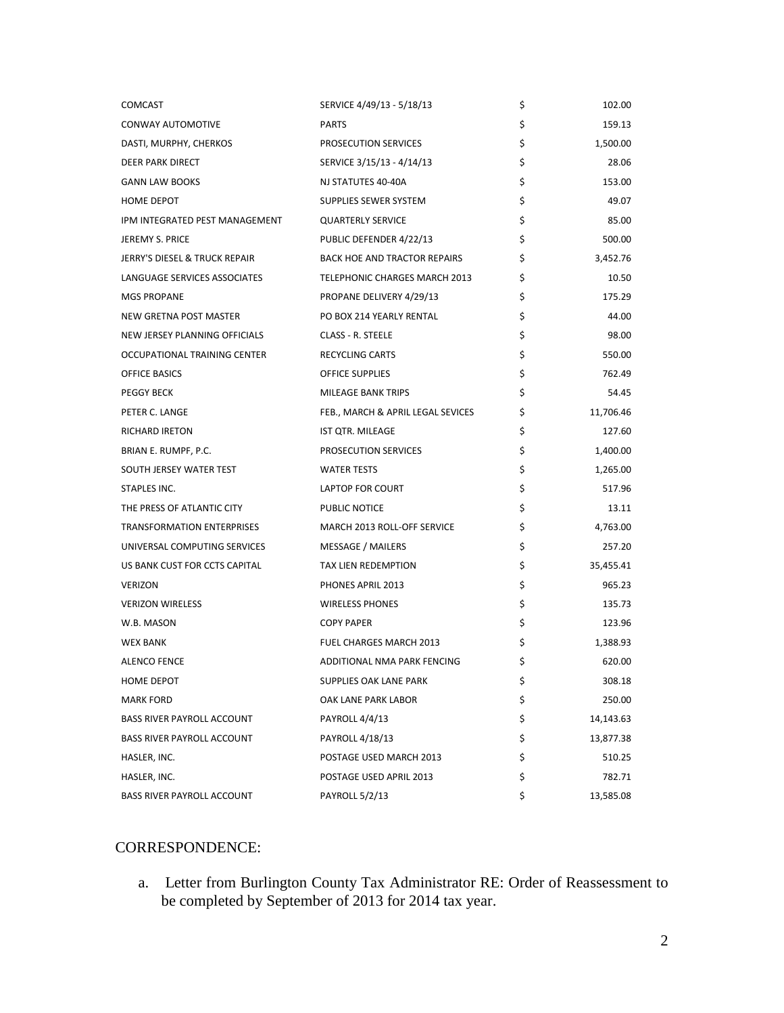| <b>COMCAST</b>                    | SERVICE 4/49/13 - 5/18/13           | \$<br>102.00    |
|-----------------------------------|-------------------------------------|-----------------|
| CONWAY AUTOMOTIVE                 | <b>PARTS</b>                        | \$<br>159.13    |
| DASTI, MURPHY, CHERKOS            | PROSECUTION SERVICES                | \$<br>1,500.00  |
| <b>DEER PARK DIRECT</b>           | SERVICE 3/15/13 - 4/14/13           | \$<br>28.06     |
| <b>GANN LAW BOOKS</b>             | NJ STATUTES 40-40A                  | \$<br>153.00    |
| HOME DEPOT                        | SUPPLIES SEWER SYSTEM               | \$<br>49.07     |
| IPM INTEGRATED PEST MANAGEMENT    | <b>QUARTERLY SERVICE</b>            | \$<br>85.00     |
| JEREMY S. PRICE                   | PUBLIC DEFENDER 4/22/13             | \$<br>500.00    |
| JERRY'S DIESEL & TRUCK REPAIR     | <b>BACK HOE AND TRACTOR REPAIRS</b> | \$<br>3,452.76  |
| LANGUAGE SERVICES ASSOCIATES      | TELEPHONIC CHARGES MARCH 2013       | \$<br>10.50     |
| <b>MGS PROPANE</b>                | PROPANE DELIVERY 4/29/13            | \$<br>175.29    |
| NEW GRETNA POST MASTER            | PO BOX 214 YEARLY RENTAL            | \$<br>44.00     |
| NEW JERSEY PLANNING OFFICIALS     | CLASS - R. STEELE                   | \$<br>98.00     |
| OCCUPATIONAL TRAINING CENTER      | RECYCLING CARTS                     | \$<br>550.00    |
| OFFICE BASICS                     | OFFICE SUPPLIES                     | \$<br>762.49    |
| <b>PEGGY BECK</b>                 | <b>MILEAGE BANK TRIPS</b>           | \$<br>54.45     |
| PETER C. LANGE                    | FEB., MARCH & APRIL LEGAL SEVICES   | \$<br>11,706.46 |
| <b>RICHARD IRETON</b>             | IST QTR. MILEAGE                    | \$<br>127.60    |
| BRIAN E. RUMPF, P.C.              | PROSECUTION SERVICES                | \$<br>1,400.00  |
| SOUTH JERSEY WATER TEST           | <b>WATER TESTS</b>                  | \$<br>1,265.00  |
| STAPLES INC.                      | LAPTOP FOR COURT                    | \$<br>517.96    |
| THE PRESS OF ATLANTIC CITY        | PUBLIC NOTICE                       | \$<br>13.11     |
| TRANSFORMATION ENTERPRISES        | MARCH 2013 ROLL-OFF SERVICE         | \$<br>4,763.00  |
| UNIVERSAL COMPUTING SERVICES      | <b>MESSAGE / MAILERS</b>            | \$<br>257.20    |
| US BANK CUST FOR CCTS CAPITAL     | TAX LIEN REDEMPTION                 | \$<br>35,455.41 |
| <b>VERIZON</b>                    | PHONES APRIL 2013                   | \$<br>965.23    |
| <b>VERIZON WIRELESS</b>           | <b>WIRELESS PHONES</b>              | \$<br>135.73    |
| W.B. MASON                        | <b>COPY PAPER</b>                   | \$<br>123.96    |
| <b>WEX BANK</b>                   | <b>FUEL CHARGES MARCH 2013</b>      | \$<br>1,388.93  |
| <b>ALENCO FENCE</b>               | ADDITIONAL NMA PARK FENCING         | \$<br>620.00    |
| <b>HOME DEPOT</b>                 | SUPPLIES OAK LANE PARK              | \$<br>308.18    |
| <b>MARK FORD</b>                  | OAK LANE PARK LABOR                 | \$<br>250.00    |
| <b>BASS RIVER PAYROLL ACCOUNT</b> | PAYROLL 4/4/13                      | \$<br>14,143.63 |
| <b>BASS RIVER PAYROLL ACCOUNT</b> | PAYROLL 4/18/13                     | \$<br>13,877.38 |
| HASLER, INC.                      | POSTAGE USED MARCH 2013             | \$<br>510.25    |
| HASLER, INC.                      | POSTAGE USED APRIL 2013             | \$<br>782.71    |
| BASS RIVER PAYROLL ACCOUNT        | PAYROLL 5/2/13                      | \$<br>13,585.08 |

# CORRESPONDENCE:

a. Letter from Burlington County Tax Administrator RE: Order of Reassessment to be completed by September of 2013 for 2014 tax year.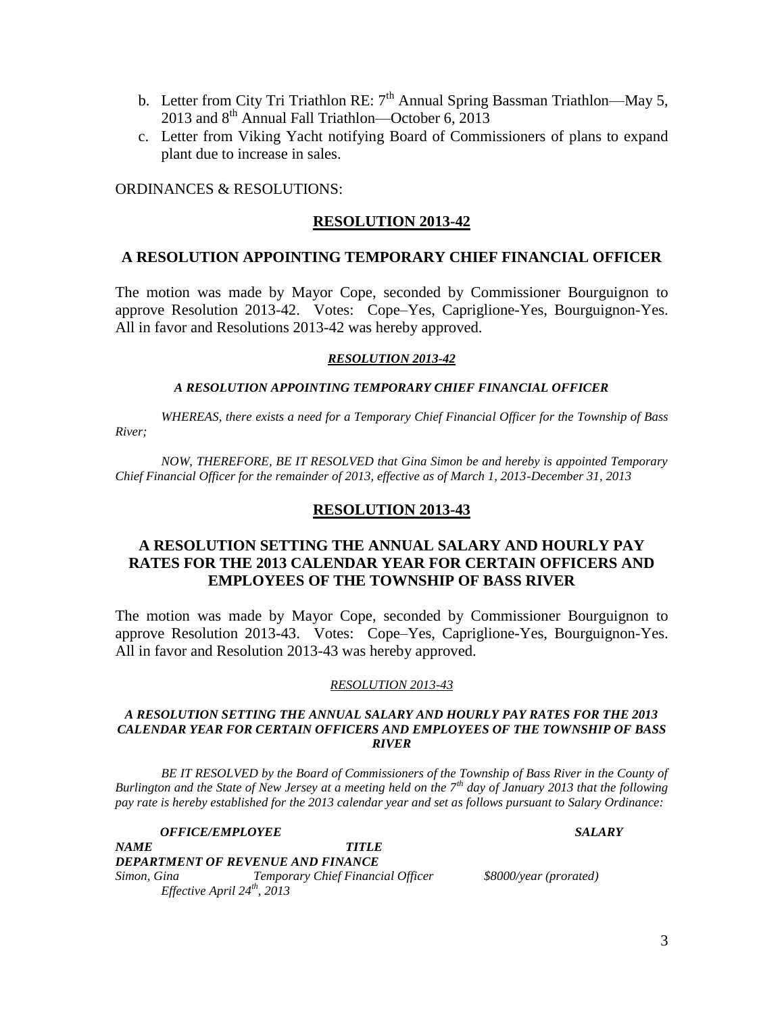- b. Letter from City Tri Triathlon RE:  $7<sup>th</sup>$  Annual Spring Bassman Triathlon—May 5, 2013 and  $8<sup>th</sup>$  Annual Fall Triathlon—October 6, 2013
- c. Letter from Viking Yacht notifying Board of Commissioners of plans to expand plant due to increase in sales.

ORDINANCES & RESOLUTIONS:

# **RESOLUTION 2013-42**

## **A RESOLUTION APPOINTING TEMPORARY CHIEF FINANCIAL OFFICER**

The motion was made by Mayor Cope, seconded by Commissioner Bourguignon to approve Resolution 2013-42. Votes: Cope–Yes, Capriglione-Yes, Bourguignon-Yes. All in favor and Resolutions 2013-42 was hereby approved.

### *RESOLUTION 2013-42*

## *A RESOLUTION APPOINTING TEMPORARY CHIEF FINANCIAL OFFICER*

*WHEREAS, there exists a need for a Temporary Chief Financial Officer for the Township of Bass River;*

*NOW, THEREFORE, BE IT RESOLVED that Gina Simon be and hereby is appointed Temporary Chief Financial Officer for the remainder of 2013, effective as of March 1, 2013-December 31, 2013*

## **RESOLUTION 2013-43**

# **A RESOLUTION SETTING THE ANNUAL SALARY AND HOURLY PAY RATES FOR THE 2013 CALENDAR YEAR FOR CERTAIN OFFICERS AND EMPLOYEES OF THE TOWNSHIP OF BASS RIVER**

The motion was made by Mayor Cope, seconded by Commissioner Bourguignon to approve Resolution 2013-43. Votes: Cope–Yes, Capriglione-Yes, Bourguignon-Yes. All in favor and Resolution 2013-43 was hereby approved.

## *RESOLUTION 2013-43*

#### *A RESOLUTION SETTING THE ANNUAL SALARY AND HOURLY PAY RATES FOR THE 2013 CALENDAR YEAR FOR CERTAIN OFFICERS AND EMPLOYEES OF THE TOWNSHIP OF BASS RIVER*

*BE IT RESOLVED by the Board of Commissioners of the Township of Bass River in the County of Burlington and the State of New Jersey at a meeting held on the 7th day of January 2013 that the following pay rate is hereby established for the 2013 calendar year and set as follows pursuant to Salary Ordinance:*

*OFFICE/EMPLOYEE SALARY*

*NAME TITLE DEPARTMENT OF REVENUE AND FINANCE Simon, Gina Temporary Chief Financial Officer \$8000/year (prorated) Effective April 24th, 2013*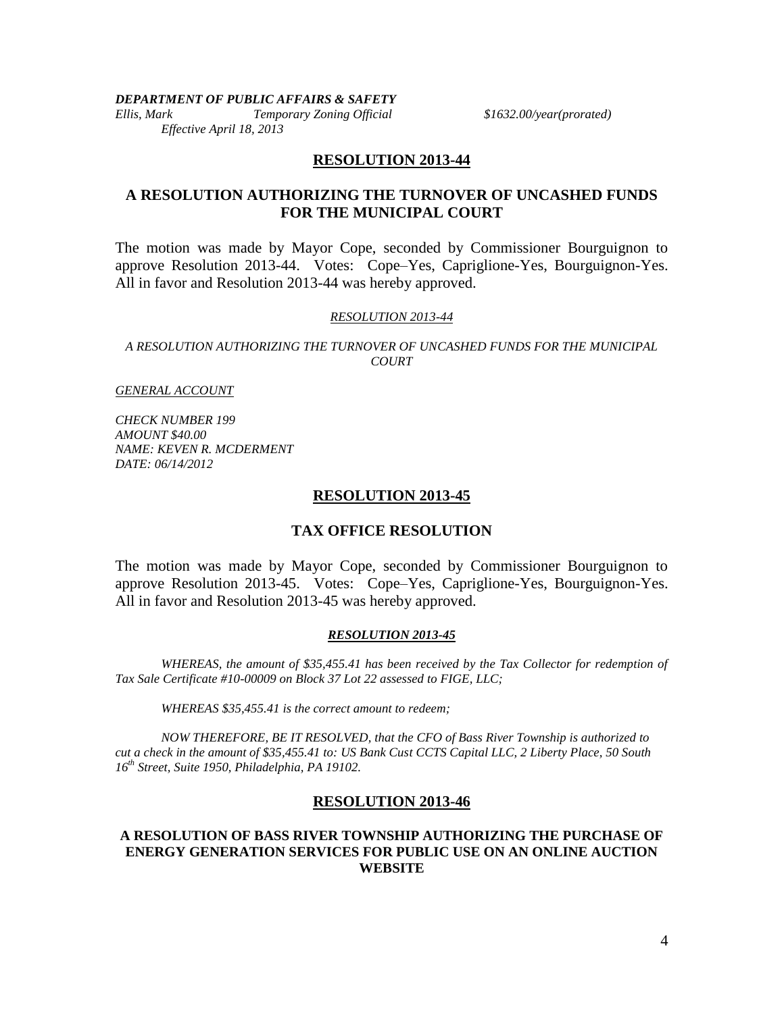*DEPARTMENT OF PUBLIC AFFAIRS & SAFETY*

*Ellis, Mark Temporary Zoning Official \$1632.00/year(prorated) Effective April 18, 2013*

## **RESOLUTION 2013-44**

## **A RESOLUTION AUTHORIZING THE TURNOVER OF UNCASHED FUNDS FOR THE MUNICIPAL COURT**

The motion was made by Mayor Cope, seconded by Commissioner Bourguignon to approve Resolution 2013-44. Votes: Cope–Yes, Capriglione-Yes, Bourguignon-Yes. All in favor and Resolution 2013-44 was hereby approved.

#### *RESOLUTION 2013-44*

*A RESOLUTION AUTHORIZING THE TURNOVER OF UNCASHED FUNDS FOR THE MUNICIPAL COURT*

*GENERAL ACCOUNT*

*CHECK NUMBER 199 AMOUNT \$40.00 NAME: KEVEN R. MCDERMENT DATE: 06/14/2012*

## **RESOLUTION 2013-45**

## **TAX OFFICE RESOLUTION**

The motion was made by Mayor Cope, seconded by Commissioner Bourguignon to approve Resolution 2013-45. Votes: Cope–Yes, Capriglione-Yes, Bourguignon-Yes. All in favor and Resolution 2013-45 was hereby approved.

#### *RESOLUTION 2013-45*

*WHEREAS, the amount of \$35,455.41 has been received by the Tax Collector for redemption of Tax Sale Certificate #10-00009 on Block 37 Lot 22 assessed to FIGE, LLC;*

*WHEREAS \$35,455.41 is the correct amount to redeem;*

*NOW THEREFORE, BE IT RESOLVED, that the CFO of Bass River Township is authorized to cut a check in the amount of \$35,455.41 to: US Bank Cust CCTS Capital LLC, 2 Liberty Place, 50 South 16th Street, Suite 1950, Philadelphia, PA 19102.*

## **RESOLUTION 2013-46**

## **A RESOLUTION OF BASS RIVER TOWNSHIP AUTHORIZING THE PURCHASE OF ENERGY GENERATION SERVICES FOR PUBLIC USE ON AN ONLINE AUCTION WEBSITE**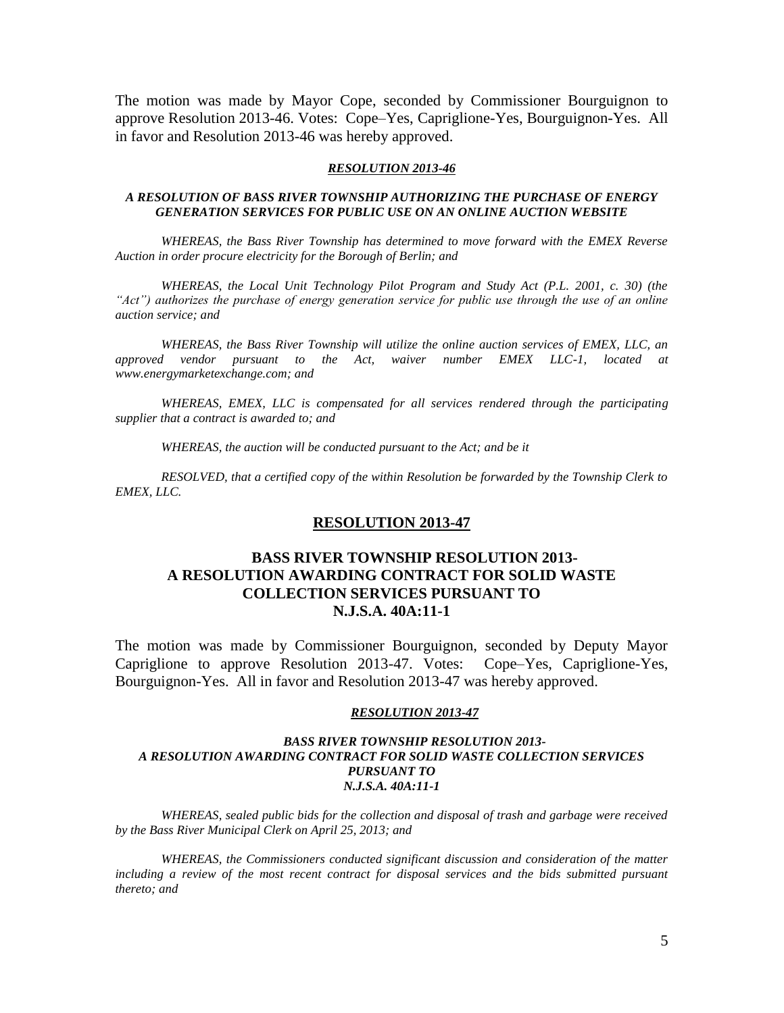The motion was made by Mayor Cope, seconded by Commissioner Bourguignon to approve Resolution 2013-46. Votes: Cope–Yes, Capriglione-Yes, Bourguignon-Yes. All in favor and Resolution 2013-46 was hereby approved.

#### *RESOLUTION 2013-46*

#### *A RESOLUTION OF BASS RIVER TOWNSHIP AUTHORIZING THE PURCHASE OF ENERGY GENERATION SERVICES FOR PUBLIC USE ON AN ONLINE AUCTION WEBSITE*

*WHEREAS, the Bass River Township has determined to move forward with the EMEX Reverse Auction in order procure electricity for the Borough of Berlin; and*

*WHEREAS, the Local Unit Technology Pilot Program and Study Act (P.L. 2001, c. 30) (the "Act") authorizes the purchase of energy generation service for public use through the use of an online auction service; and*

*WHEREAS, the Bass River Township will utilize the online auction services of EMEX, LLC, an approved vendor pursuant to the Act, waiver number EMEX LLC-1, located at www.energymarketexchange.com; and*

*WHEREAS, EMEX, LLC is compensated for all services rendered through the participating supplier that a contract is awarded to; and*

*WHEREAS, the auction will be conducted pursuant to the Act; and be it*

*RESOLVED, that a certified copy of the within Resolution be forwarded by the Township Clerk to EMEX, LLC.*

### **RESOLUTION 2013-47**

## **BASS RIVER TOWNSHIP RESOLUTION 2013- A RESOLUTION AWARDING CONTRACT FOR SOLID WASTE COLLECTION SERVICES PURSUANT TO N.J.S.A. 40A:11-1**

The motion was made by Commissioner Bourguignon, seconded by Deputy Mayor Capriglione to approve Resolution 2013-47. Votes: Cope–Yes, Capriglione-Yes, Bourguignon-Yes. All in favor and Resolution 2013-47 was hereby approved.

#### *RESOLUTION 2013-47*

#### *BASS RIVER TOWNSHIP RESOLUTION 2013- A RESOLUTION AWARDING CONTRACT FOR SOLID WASTE COLLECTION SERVICES PURSUANT TO N.J.S.A. 40A:11-1*

*WHEREAS, sealed public bids for the collection and disposal of trash and garbage were received by the Bass River Municipal Clerk on April 25, 2013; and*

*WHEREAS, the Commissioners conducted significant discussion and consideration of the matter including a review of the most recent contract for disposal services and the bids submitted pursuant thereto; and*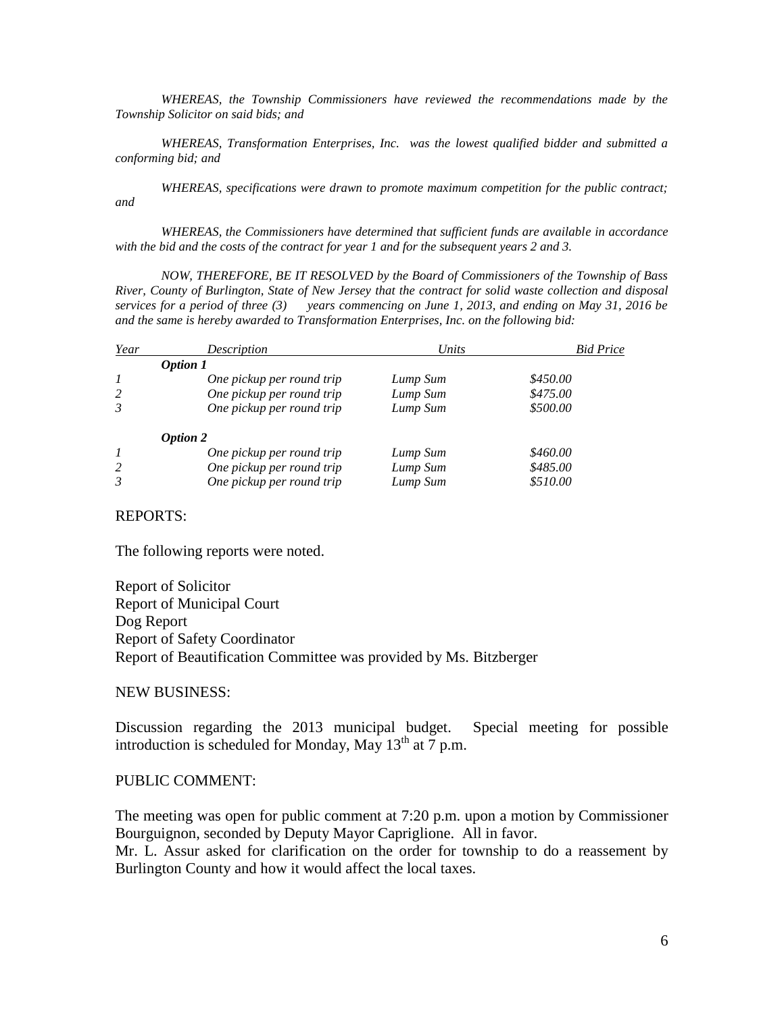*WHEREAS, the Township Commissioners have reviewed the recommendations made by the Township Solicitor on said bids; and*

*WHEREAS, Transformation Enterprises, Inc. was the lowest qualified bidder and submitted a conforming bid; and*

*WHEREAS, specifications were drawn to promote maximum competition for the public contract; and*

*WHEREAS, the Commissioners have determined that sufficient funds are available in accordance with the bid and the costs of the contract for year 1 and for the subsequent years 2 and 3.*

*NOW, THEREFORE, BE IT RESOLVED by the Board of Commissioners of the Township of Bass River, County of Burlington, State of New Jersey that the contract for solid waste collection and disposal services for a period of three (3) years commencing on June 1, 2013, and ending on May 31, 2016 be and the same is hereby awarded to Transformation Enterprises, Inc. on the following bid:*

| Year             | Description               | Units    | <b>Bid Price</b> |
|------------------|---------------------------|----------|------------------|
|                  | <b>Option 1</b>           |          |                  |
| $\boldsymbol{l}$ | One pickup per round trip | Lump Sum | \$450.00         |
| 2                | One pickup per round trip | Lump Sum | \$475.00         |
| 3                | One pickup per round trip | Lump Sum | \$500.00         |
|                  | <b>Option 2</b>           |          |                  |
| $\mathcal{I}$    | One pickup per round trip | Lump Sum | \$460.00         |
| 2                | One pickup per round trip | Lump Sum | \$485.00         |
| 3                | One pickup per round trip | Lump Sum | \$510.00         |

## REPORTS:

The following reports were noted.

Report of Solicitor Report of Municipal Court Dog Report Report of Safety Coordinator Report of Beautification Committee was provided by Ms. Bitzberger

### NEW BUSINESS:

Discussion regarding the 2013 municipal budget. Special meeting for possible introduction is scheduled for Monday, May  $13<sup>th</sup>$  at 7 p.m.

#### PUBLIC COMMENT:

The meeting was open for public comment at 7:20 p.m. upon a motion by Commissioner Bourguignon, seconded by Deputy Mayor Capriglione. All in favor.

Mr. L. Assur asked for clarification on the order for township to do a reassement by Burlington County and how it would affect the local taxes.